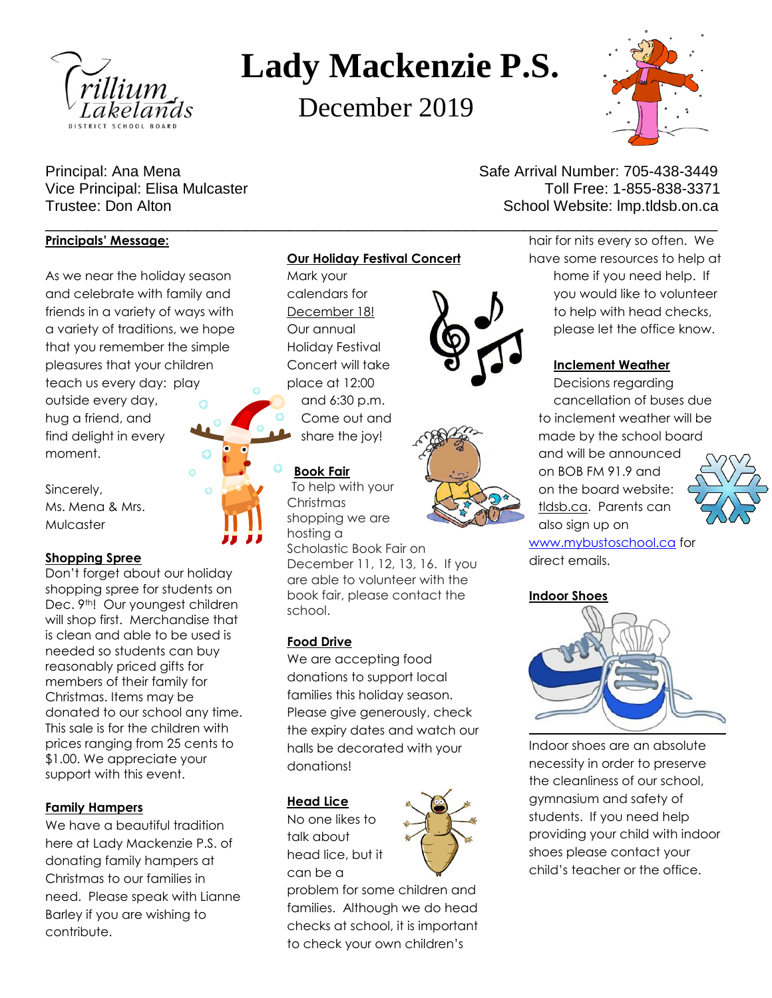

# **Lady Mackenzie P.S.**

December 2019



#### **Principals' Message:**

As we near the holiday season and celebrate with family and friends in a variety of ways with a variety of traditions, we hope that you remember the simple pleasures that your children teach us every day: play outside every day, hug a friend, and find delight in every moment.

 $\alpha$ 

Sincerely, Ms. Mena & Mrs. Mulcaster

# **Shopping Spree**

Don't forget about our holiday shopping spree for students on Dec. 9th! Our youngest children will shop first. Merchandise that is clean and able to be used is needed so students can buy reasonably priced gifts for members of their family for Christmas. Items may be donated to our school any time. This sale is for the children with prices ranging from 25 cents to \$1.00. We appreciate your support with this event.

# **Family Hampers**

We have a beautiful tradition here at Lady Mackenzie P.S. of donating family hampers at Christmas to our families in need. Please speak with Lianne Barley if you are wishing to contribute.

## **Our Holiday Festival Concert**

\_\_\_\_\_\_\_\_\_\_\_\_\_\_\_\_\_\_\_\_\_\_\_\_\_\_\_\_\_\_\_\_\_\_\_\_\_\_\_\_\_\_\_\_\_\_\_\_\_\_\_\_\_\_\_\_\_\_\_\_\_\_\_\_\_\_\_\_\_\_\_\_\_\_\_\_\_\_\_\_

Mark your calendars for December 18! Our annual Holiday Festival Concert will take place at 12:00 and 6:30 p.m. Come out and share the joy!

#### **Book Fair**

To help with your Christmas shopping we are hosting a Scholastic Book Fair on

December 11, 12, 13, 16. If you are able to volunteer with the book fair, please contact the school.

#### **Food Drive**

We are accepting food donations to support local families this holiday season. Please give generously, check the expiry dates and watch our halls be decorated with your donations!

# **Head Lice**

No one likes to talk about head lice, but it can be a



problem for some children and families. Although we do head checks at school, it is important to check your own children's

Principal: Ana Mena Safe Arrival Number: 705-438-3449 Vice Principal: Elisa Mulcaster Toll Free: 1-855-838-3371 Trustee: Don Alton **School Website: Imp.tldsb.on.ca** 

> hair for nits every so often. We have some resources to help at home if you need help. If you would like to volunteer to help with head checks, please let the office know.

# **Inclement Weather**

Decisions regarding cancellation of buses due to inclement weather will be made by the school board and will be announced on BOB FM 91.9 and on the board website: tldsb.ca. Parents can also sign up on



[www.mybustoschool.ca](http://www.mybustoschool.ca/) for direct emails.

# **Indoor Shoes**



Indoor shoes are an absolute necessity in order to preserve the cleanliness of our school, gymnasium and safety of students. If you need help providing your child with indoor shoes please contact your child's teacher or the office.







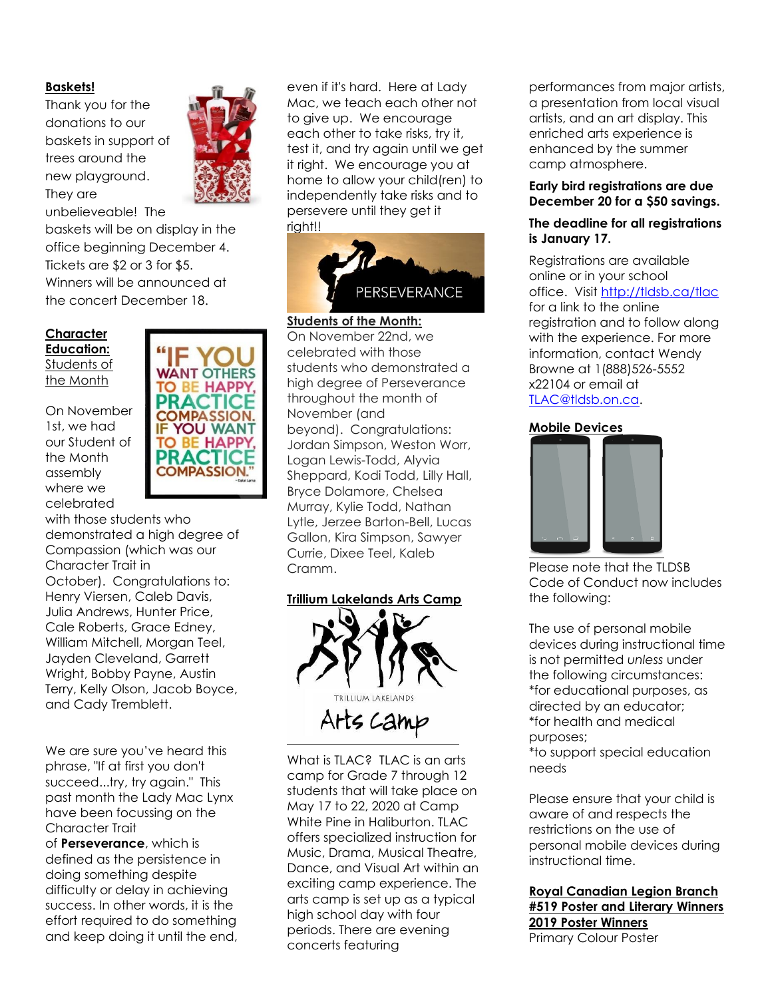# **Baskets!**

Thank you for the donations to our baskets in support of trees around the new playground. They are unbelieveable! The



baskets will be on display in the office beginning December 4. Tickets are \$2 or 3 for \$5. Winners will be announced at the concert December 18.

#### **Character Education:** Students of the Month

On November 1st, we had our Student of the Month assembly where we celebrated

with those students who demonstrated a high degree of Compassion (which was our Character Trait in October). Congratulations to: Henry Viersen, Caleb Davis, Julia Andrews, Hunter Price, Cale Roberts, Grace Edney, William Mitchell, Morgan Teel, Jayden Cleveland, Garrett Wright, Bobby Payne, Austin Terry, Kelly Olson, Jacob Boyce, and Cady Tremblett.

We are sure you've heard this phrase, "If at first you don't succeed...try, try again." This past month the Lady Mac Lynx have been focussing on the Character Trait

of **Perseverance**, which is defined as the persistence in doing something despite difficulty or delay in achieving success. In other words, it is the effort required to do something and keep doing it until the end,

even if it's hard. Here at Lady Mac, we teach each other not to give up. We encourage each other to take risks, try it, test it, and try again until we get it right. We encourage you at home to allow your child(ren) to independently take risks and to persevere until they get it right!!



#### **Students of the Month:**

On November 22nd, we celebrated with those students who demonstrated a high degree of Perseverance throughout the month of November (and beyond). Congratulations: Jordan Simpson, Weston Worr, Logan Lewis-Todd, Alyvia Sheppard, Kodi Todd, Lilly Hall, Bryce Dolamore, Chelsea Murray, Kylie Todd, Nathan Lytle, Jerzee Barton-Bell, Lucas Gallon, Kira Simpson, Sawyer Currie, Dixee Teel, Kaleb Cramm.

# **Trillium Lakelands Arts Camp**



What is TLAC? TLAC is an arts camp for Grade 7 through 12 students that will take place on May 17 to 22, 2020 at Camp White Pine in Haliburton. TLAC offers specialized instruction for Music, Drama, Musical Theatre, Dance, and Visual Art within an exciting camp experience. The arts camp is set up as a typical high school day with four periods. There are evening concerts featuring

performances from major artists, a presentation from local visual artists, and an art display. This enriched arts experience is enhanced by the summer camp atmosphere.

#### **Early bird registrations are due December 20 for a \$50 savings.**

#### **The deadline for all registrations is January 17.**

Registrations are available online or in your school office. Visit<http://tldsb.ca/tlac> for a link to the online registration and to follow along with the experience. For more information, contact Wendy Browne at 1(888)526-5552 x22104 or email at [TLAC@tldsb.on.ca.](mailto:TLAC@tldsb.on.ca)

#### **Mobile Devices**



Please note that the TLDSB Code of Conduct now includes the following:

The use of personal mobile devices during instructional time is not permitted *unless* under the following circumstances: \*for educational purposes, as directed by an educator; \*for health and medical purposes;

\*to support special education needs

Please ensure that your child is aware of and respects the restrictions on the use of personal mobile devices during instructional time.

# **Royal Canadian Legion Branch #519 Poster and Literary Winners 2019 Poster Winners**

Primary Colour Poster